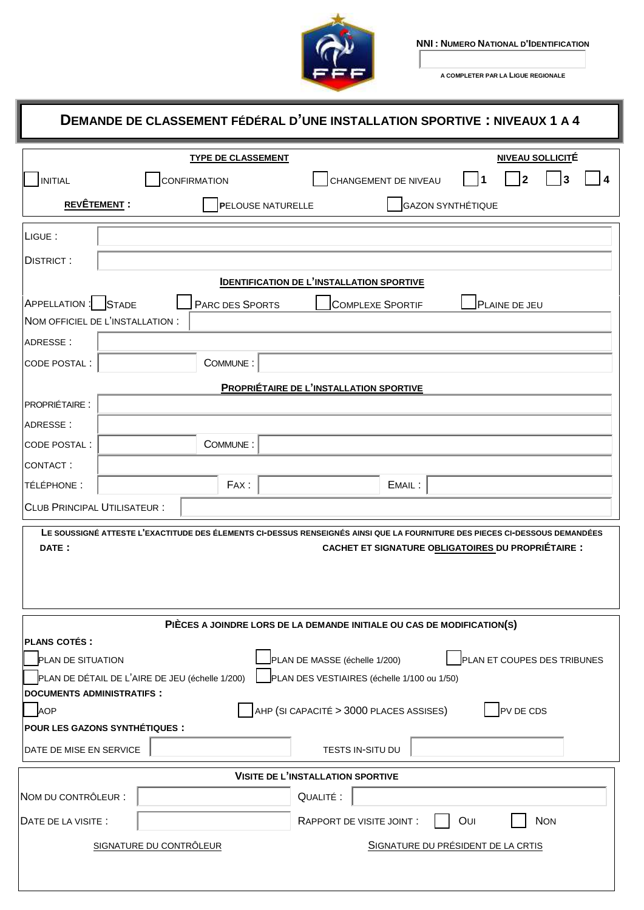

I

**NNI : NUMERO NATIONAL D'IDENTIFICATION**

**A COMPLETER PAR LA LIGUE REGIONALE**

1

| DEMANDE DE CLASSEMENT FÉDÉRAL D'UNE INSTALLATION SPORTIVE : NIVEAUX 1 A 4                                                                                                                         |                                                                                                |  |  |  |  |  |  |
|---------------------------------------------------------------------------------------------------------------------------------------------------------------------------------------------------|------------------------------------------------------------------------------------------------|--|--|--|--|--|--|
|                                                                                                                                                                                                   | <b>NIVEAU SOLLICITÉ</b><br><b>TYPE DE CLASSEMENT</b>                                           |  |  |  |  |  |  |
| <b>INITIAL</b>                                                                                                                                                                                    | $\overline{2}$<br>CHANGEMENT DE NIVEAU<br><b>CONFIRMATION</b><br>3                             |  |  |  |  |  |  |
| <b>REVÊTEMENT:</b>                                                                                                                                                                                | GAZON SYNTHÉTIQUE<br><b>PELOUSE NATURELLE</b>                                                  |  |  |  |  |  |  |
| LIGUE :                                                                                                                                                                                           |                                                                                                |  |  |  |  |  |  |
| <b>DISTRICT:</b>                                                                                                                                                                                  |                                                                                                |  |  |  |  |  |  |
|                                                                                                                                                                                                   | <b>IDENTIFICATION DE L'INSTALLATION SPORTIVE</b>                                               |  |  |  |  |  |  |
| APPELLATION: STADE                                                                                                                                                                                | PARC DES SPORTS<br><b>COMPLEXE SPORTIF</b><br>PLAINE DE JEU                                    |  |  |  |  |  |  |
|                                                                                                                                                                                                   | NOM OFFICIEL DE L'INSTALLATION :                                                               |  |  |  |  |  |  |
| ADRESSE:                                                                                                                                                                                          |                                                                                                |  |  |  |  |  |  |
| CODE POSTAL :                                                                                                                                                                                     | COMMUNE:                                                                                       |  |  |  |  |  |  |
|                                                                                                                                                                                                   | PROPRIÉTAIRE DE L'INSTALLATION SPORTIVE                                                        |  |  |  |  |  |  |
| <b>PROPRIÉTAIRE:</b>                                                                                                                                                                              |                                                                                                |  |  |  |  |  |  |
| ADRESSE:                                                                                                                                                                                          |                                                                                                |  |  |  |  |  |  |
| <b>CODE POSTAL:</b>                                                                                                                                                                               | COMMUNE:                                                                                       |  |  |  |  |  |  |
| CONTACT:                                                                                                                                                                                          |                                                                                                |  |  |  |  |  |  |
| TÉLÉPHONE :                                                                                                                                                                                       | FAX:<br>EMAIL:                                                                                 |  |  |  |  |  |  |
| <b>CLUB PRINCIPAL UTILISATEUR:</b>                                                                                                                                                                |                                                                                                |  |  |  |  |  |  |
| LE SOUSSIGNÉ ATTESTE L'EXACTITUDE DES ÉLEMENTS CI-DESSUS RENSEIGNÉS AINSI QUE LA FOURNITURE DES PIECES CI-DESSOUS DEMANDÉES<br><b>CACHET ET SIGNATURE OBLIGATOIRES DU PROPRIÉTAIRE :</b><br>DATE: |                                                                                                |  |  |  |  |  |  |
|                                                                                                                                                                                                   | PIÈCES A JOINDRE LORS DE LA DEMANDE INITIALE OU CAS DE MODIFICATION(S)                         |  |  |  |  |  |  |
| <b>PLANS COTÉS:</b>                                                                                                                                                                               |                                                                                                |  |  |  |  |  |  |
| PLAN DE SITUATION                                                                                                                                                                                 | PLAN DE MASSE (échelle 1/200)<br>PLAN ET COUPES DES TRIBUNES                                   |  |  |  |  |  |  |
| <b>DOCUMENTS ADMINISTRATIFS:</b>                                                                                                                                                                  | PLAN DE DÉTAIL DE L'AIRE DE JEU (échelle 1/200)<br>PLAN DES VESTIAIRES (échelle 1/100 ou 1/50) |  |  |  |  |  |  |
| <b>AOP</b>                                                                                                                                                                                        | AHP (SI CAPACITÉ > 3000 PLACES ASSISES)<br>PV DE CDS                                           |  |  |  |  |  |  |
|                                                                                                                                                                                                   | POUR LES GAZONS SYNTHÉTIQUES :                                                                 |  |  |  |  |  |  |
| DATE DE MISE EN SERVICE                                                                                                                                                                           | TESTS IN-SITU DU                                                                               |  |  |  |  |  |  |
| <b>VISITE DE L'INSTALLATION SPORTIVE</b>                                                                                                                                                          |                                                                                                |  |  |  |  |  |  |
| NOM DU CONTRÔLEUR :                                                                                                                                                                               | QUALITÉ :                                                                                      |  |  |  |  |  |  |
| DATE DE LA VISITE :                                                                                                                                                                               | OUI<br><b>NON</b><br>RAPPORT DE VISITE JOINT :                                                 |  |  |  |  |  |  |
|                                                                                                                                                                                                   | SIGNATURE DU CONTRÔLEUR<br>SIGNATURE DU PRÉSIDENT DE LA CRTIS                                  |  |  |  |  |  |  |
|                                                                                                                                                                                                   |                                                                                                |  |  |  |  |  |  |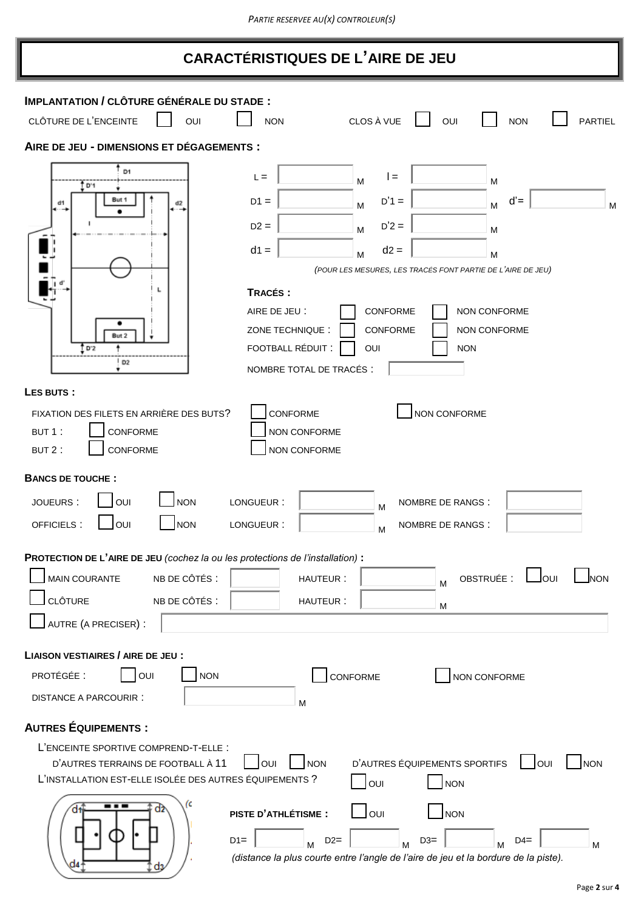| <b>CARACTÉRISTIQUES DE L'AIRE DE JEU</b> |  |
|------------------------------------------|--|
|------------------------------------------|--|

| <b>IMPLANTATION / CLÔTURE GÉNÉRALE DU STADE:</b>                               |                                                                                     |
|--------------------------------------------------------------------------------|-------------------------------------------------------------------------------------|
| CLÔTURE DE L'ENCEINTE<br>OUI                                                   | CLOS À VUE<br>OUI<br><b>PARTIEL</b><br><b>NON</b><br><b>NON</b>                     |
| AIRE DE JEU - DIMENSIONS ET DÉGAGEMENTS :                                      |                                                                                     |
| D1<br><u>t</u> p·1                                                             | $I =$<br>$L =$<br>M<br>M                                                            |
| But 1<br>d1                                                                    | $D'1 =$<br>$d' =$<br>$D1 =$<br>M<br>M<br>M                                          |
|                                                                                | $D'2 =$<br>$D2 =$<br>M<br>м                                                         |
|                                                                                | $d1 =$<br>$d2 =$<br>M<br>M                                                          |
|                                                                                | (POUR LES MESURES, LES TRACÉS FONT PARTIE DE L'AIRE DE JEU)                         |
|                                                                                | TRACÉS :                                                                            |
|                                                                                | CONFORME<br>NON CONFORME<br>AIRE DE JEU :                                           |
| But 2                                                                          | CONFORME<br>ZONE TECHNIQUE:<br>NON CONFORME<br>FOOTBALL RÉDUIT :                    |
| tr≥<br>D <sub>2</sub>                                                          | OUI<br><b>NON</b><br>NOMBRE TOTAL DE TRACÉS :                                       |
| LES BUTS:                                                                      |                                                                                     |
| FIXATION DES FILETS EN ARRIÈRE DES BUTS?                                       | CONFORME<br>NON CONFORME                                                            |
| BUT 1:<br>CONFORME                                                             | NON CONFORME                                                                        |
| CONFORME<br>BUT 2:                                                             | NON CONFORME                                                                        |
| <b>BANCS DE TOUCHE:</b>                                                        |                                                                                     |
| <b>NON</b><br><b>JOUEURS:</b><br>OUI                                           | LONGUEUR:<br>NOMBRE DE RANGS :<br>M                                                 |
| OUI<br><b>NON</b><br>OFFICIELS:                                                | LONGUEUR:<br>NOMBRE DE RANGS :<br>M                                                 |
| PROTECTION DE L'AIRE DE JEU (cochez la ou les protections de l'installation) : |                                                                                     |
| <b>MAIN COURANTE</b><br>NB DE CÔTÉS :                                          | OBSTRUÉE :<br>Jour<br><b>I</b> NON<br>HAUTEUR:<br>M                                 |
| <b>CLÔTURE</b><br>NB DE CÔTÉS :                                                | HAUTEUR:<br>M                                                                       |
| AUTRE (A PRECISER) :                                                           |                                                                                     |
| <b>LIAISON VESTIAIRES / AIRE DE JEU :</b>                                      |                                                                                     |
| PROTÉGÉE :<br>OUI<br><b>NON</b>                                                | CONFORME<br>NON CONFORME                                                            |
| <b>DISTANCE A PARCOURIR:</b>                                                   | M                                                                                   |
| <b>AUTRES ÉQUIPEMENTS :</b>                                                    |                                                                                     |
| L'ENCEINTE SPORTIVE COMPREND-T-ELLE :                                          |                                                                                     |
| D'AUTRES TERRAINS DE FOOTBALL À 11                                             | D'AUTRES ÉQUIPEMENTS SPORTIFS<br>OUI<br><b>NON</b><br><b>OUI</b><br><b>NON</b>      |
| L'INSTALLATION EST-ELLE ISOLÉE DES AUTRES ÉQUIPEMENTS ?                        | OUI<br><b>NON</b>                                                                   |
| (c<br>α2                                                                       | Jo∪ı<br><b>PISTE D'ATHLÉTISME :</b><br>NON                                          |
|                                                                                | $D1 =$<br>$D2=$<br>$D3=$<br>$D4=$<br>M<br>M<br>M<br>М                               |
| CI4<br>CI3                                                                     | (distance la plus courte entre l'angle de l'aire de jeu et la bordure de la piste). |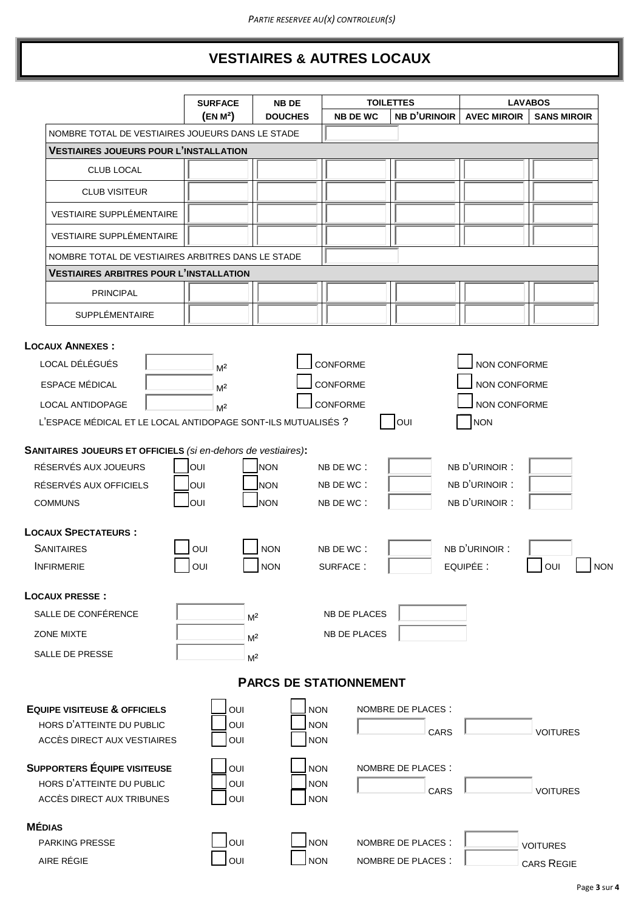## **VESTIAIRES & AUTRES LOCAUX**

|                                                                                                                                   | <b>SURFACE</b>                                     | <b>NB DE</b>                            | <b>TOILETTES</b>                                      |                            |                                                                   | <b>LAVABOS</b>     |
|-----------------------------------------------------------------------------------------------------------------------------------|----------------------------------------------------|-----------------------------------------|-------------------------------------------------------|----------------------------|-------------------------------------------------------------------|--------------------|
|                                                                                                                                   | (EN M <sup>2</sup> )                               | <b>DOUCHES</b>                          | <b>NB DE WC</b>                                       | <b>NB D'URINOIR</b>        | <b>AVEC MIROIR</b>                                                | <b>SANS MIROIR</b> |
| NOMBRE TOTAL DE VESTIAIRES JOUEURS DANS LE STADE                                                                                  |                                                    |                                         |                                                       |                            |                                                                   |                    |
| <b>VESTIAIRES JOUEURS POUR L'INSTALLATION</b>                                                                                     |                                                    |                                         |                                                       |                            |                                                                   |                    |
| <b>CLUB LOCAL</b>                                                                                                                 |                                                    |                                         |                                                       |                            |                                                                   |                    |
| <b>CLUB VISITEUR</b>                                                                                                              |                                                    |                                         |                                                       |                            |                                                                   |                    |
| <b>VESTIAIRE SUPPLÉMENTAIRE</b>                                                                                                   |                                                    |                                         |                                                       |                            |                                                                   |                    |
| <b>VESTIAIRE SUPPLÉMENTAIRE</b>                                                                                                   |                                                    |                                         |                                                       |                            |                                                                   |                    |
| NOMBRE TOTAL DE VESTIAIRES ARBITRES DANS LE STADE                                                                                 |                                                    |                                         |                                                       |                            |                                                                   |                    |
| <b>VESTIAIRES ARBITRES POUR L'INSTALLATION</b>                                                                                    |                                                    |                                         |                                                       |                            |                                                                   |                    |
| <b>PRINCIPAL</b>                                                                                                                  |                                                    |                                         |                                                       |                            |                                                                   |                    |
|                                                                                                                                   |                                                    |                                         |                                                       |                            |                                                                   |                    |
| <b>SUPPLÉMENTAIRE</b>                                                                                                             |                                                    |                                         |                                                       |                            |                                                                   |                    |
| LOCAL DÉLÉGUÉS<br><b>ESPACE MÉDICAL</b><br>LOCAL ANTIDOPAGE<br>L'ESPACE MÉDICAL ET LE LOCAL ANTIDOPAGE SONT-ILS MUTUALISÉS ?      | M <sup>2</sup><br>M <sup>2</sup><br>M <sup>2</sup> |                                         | <b>CONFORME</b><br><b>CONFORME</b><br><b>CONFORME</b> | <b>OUI</b>                 | NON CONFORME<br>NON CONFORME<br><b>NON CONFORME</b><br><b>NON</b> |                    |
| SANITAIRES JOUEURS ET OFFICIELS (si en-dehors de vestiaires):<br>RÉSERVÉS AUX JOUEURS<br>RÉSERVÉS AUX OFFICIELS<br><b>COMMUNS</b> | OUI<br>loui<br>OUI                                 | <b>NON</b><br><b>NON</b><br><b>INON</b> | NB DE WC:<br>NB DE WC:<br>NB DE WC:                   |                            | NB D'URINOIR :<br>NB D'URINOIR :<br>NB D'URINOIR :                |                    |
| <b>LOCAUX SPECTATEURS:</b>                                                                                                        |                                                    |                                         |                                                       |                            |                                                                   |                    |
| <b>SANITAIRES</b>                                                                                                                 | OUI                                                | <b>NON</b>                              | NB DE WC:                                             |                            | NB D'URINOIR :                                                    |                    |
| <b>INFIRMERIE</b>                                                                                                                 | OUI                                                | <b>NON</b>                              | SURFACE:                                              |                            | EQUIPÉE :                                                         | OUI                |
| <b>LOCAUX PRESSE:</b>                                                                                                             |                                                    |                                         |                                                       |                            |                                                                   |                    |
| SALLE DE CONFÉRENCE                                                                                                               |                                                    | M <sup>2</sup>                          | <b>NB DE PLACES</b>                                   |                            |                                                                   |                    |
| <b>ZONE MIXTE</b>                                                                                                                 |                                                    | M <sup>2</sup>                          | NB DE PLACES                                          |                            |                                                                   |                    |
| SALLE DE PRESSE                                                                                                                   |                                                    | M <sup>2</sup>                          |                                                       |                            |                                                                   |                    |
|                                                                                                                                   |                                                    |                                         | <b>PARCS DE STATIONNEMENT</b>                         |                            |                                                                   |                    |
|                                                                                                                                   |                                                    |                                         |                                                       |                            |                                                                   |                    |
| <b>EQUIPE VISITEUSE &amp; OFFICIELS</b><br>HORS D'ATTEINTE DU PUBLIC<br>ACCÈS DIRECT AUX VESTIAIRES                               | OUI<br>OUI<br>OUI                                  | <b>NON</b><br><b>NON</b><br><b>NON</b>  |                                                       | NOMBRE DE PLACES :<br>CARS |                                                                   | <b>VOITURES</b>    |
| <b>SUPPORTERS ÉQUIPE VISITEUSE</b><br>HORS D'ATTEINTE DU PUBLIC<br>ACCÈS DIRECT AUX TRIBUNES                                      | OUI<br>OUI<br>OUI                                  | <b>NON</b><br><b>NON</b><br><b>NON</b>  |                                                       | NOMBRE DE PLACES :<br>CARS |                                                                   | <b>VOITURES</b>    |
|                                                                                                                                   |                                                    |                                         |                                                       |                            |                                                                   |                    |
| <b>MÉDIAS</b>                                                                                                                     |                                                    |                                         |                                                       |                            |                                                                   |                    |
| <b>PARKING PRESSE</b>                                                                                                             | OUI                                                | <b>NON</b>                              |                                                       | NOMBRE DE PLACES :         |                                                                   | <b>VOITURES</b>    |